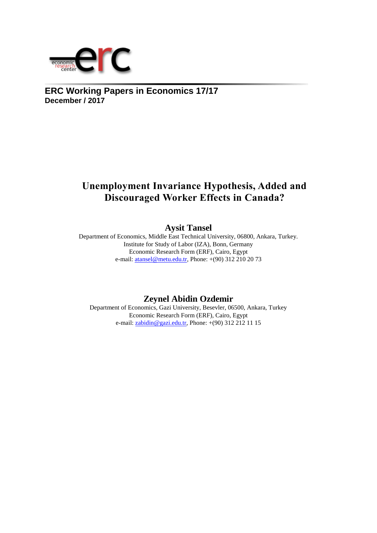

# **ERC Working Papers in Economics 17/17 December / 2017**

# **Unemployment Invariance Hypothesis, Added and Discouraged Worker Effects in Canada?**

# **Aysit Tansel**

Department of Economics, Middle East Technical University, 06800, Ankara, Turkey. Institute for Study of Labor (IZA), Bonn, Germany Economic Research Form (ERF), Cairo, Egypt e-mail: [atansel@metu.edu.tr,](mailto:atansel@metu.edu.tr) Phone: +(90) 312 210 20 73

# **Zeynel Abidin Ozdemir**

Department of Economics, Gazi University, Besevler, 06500, Ankara, Turkey Economic Research Form (ERF), Cairo, Egypt e-mail:  $zabidin@gazi.edu.tr$ , Phone:  $+(90)$  312 212 11 15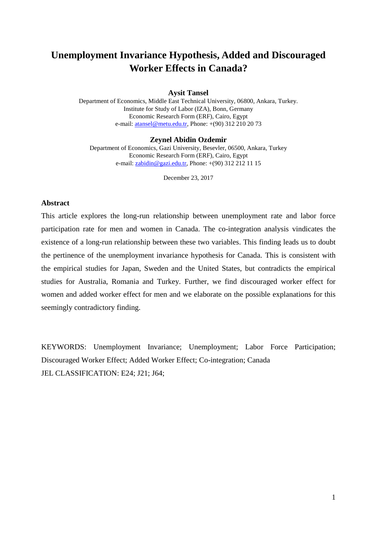# **Unemployment Invariance Hypothesis, Added and Discouraged Worker Effects in Canada?**

## **Aysit Tansel**

Department of Economics, Middle East Technical University, 06800, Ankara, Turkey. Institute for Study of Labor (IZA), Bonn, Germany Economic Research Form (ERF), Cairo, Egypt e-mail: [atansel@metu.edu.tr,](mailto:atansel@metu.edu.tr) Phone: +(90) 312 210 20 73

#### **Zeynel Abidin Ozdemir**

Department of Economics, Gazi University, Besevler, 06500, Ankara, Turkey Economic Research Form (ERF), Cairo, Egypt e-mail: [zabidin@gazi.edu.tr,](mailto:zabidin@gazi.edu.tr) Phone:  $+(90)$  312 212 11 15

December 23, 2017

## **Abstract**

This article explores the long-run relationship between unemployment rate and labor force participation rate for men and women in Canada. The co-integration analysis vindicates the existence of a long-run relationship between these two variables. This finding leads us to doubt the pertinence of the unemployment invariance hypothesis for Canada. This is consistent with the empirical studies for Japan, Sweden and the United States, but contradicts the empirical studies for Australia, Romania and Turkey. Further, we find discouraged worker effect for women and added worker effect for men and we elaborate on the possible explanations for this seemingly contradictory finding.

KEYWORDS: Unemployment Invariance; Unemployment; Labor Force Participation; Discouraged Worker Effect; Added Worker Effect; Co-integration; Canada JEL CLASSIFICATION: E24; J21; J64;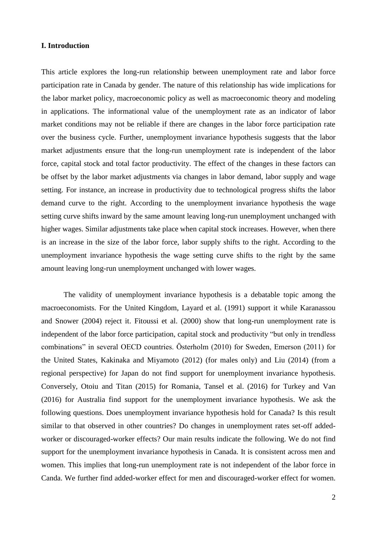# **I. Introduction**

This article explores the long-run relationship between unemployment rate and labor force participation rate in Canada by gender. The nature of this relationship has wide implications for the labor market policy, macroeconomic policy as well as macroeconomic theory and modeling in applications. The informational value of the unemployment rate as an indicator of labor market conditions may not be reliable if there are changes in the labor force participation rate over the business cycle. Further, unemployment invariance hypothesis suggests that the labor market adjustments ensure that the long-run unemployment rate is independent of the labor force, capital stock and total factor productivity. The effect of the changes in these factors can be offset by the labor market adjustments via changes in labor demand, labor supply and wage setting. For instance, an increase in productivity due to technological progress shifts the labor demand curve to the right. According to the unemployment invariance hypothesis the wage setting curve shifts inward by the same amount leaving long-run unemployment unchanged with higher wages. Similar adjustments take place when capital stock increases. However, when there is an increase in the size of the labor force, labor supply shifts to the right. According to the unemployment invariance hypothesis the wage setting curve shifts to the right by the same amount leaving long-run unemployment unchanged with lower wages.

The validity of unemployment invariance hypothesis is a debatable topic among the macroeconomists. For the United Kingdom, Layard et al. (1991) support it while Karanassou and Snower (2004) reject it. Fitoussi et al. (2000) show that long-run unemployment rate is independent of the labor force participation, capital stock and productivity "but only in trendless combinations" in several OECD countries. Österholm (2010) for Sweden, Emerson (2011) for the United States, Kakinaka and Miyamoto (2012) (for males only) and Liu (2014) (from a regional perspective) for Japan do not find support for unemployment invariance hypothesis. Conversely, Otoiu and Titan (2015) for Romania, Tansel et al. (2016) for Turkey and Van (2016) for Australia find support for the unemployment invariance hypothesis. We ask the following questions. Does unemployment invariance hypothesis hold for Canada? Is this result similar to that observed in other countries? Do changes in unemployment rates set-off addedworker or discouraged-worker effects? Our main results indicate the following. We do not find support for the unemployment invariance hypothesis in Canada. It is consistent across men and women. This implies that long-run unemployment rate is not independent of the labor force in Canda. We further find added-worker effect for men and discouraged-worker effect for women.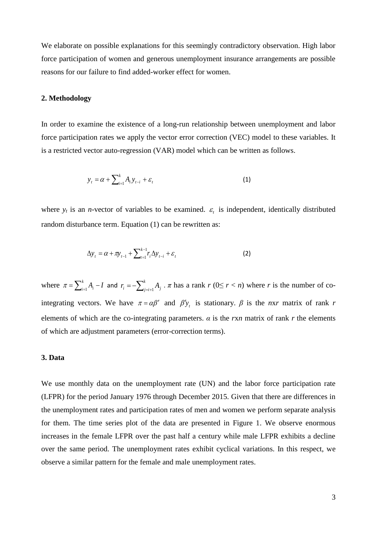We elaborate on possible explanations for this seemingly contradictory observation. High labor force participation of women and generous unemployment insurance arrangements are possible reasons for our failure to find added-worker effect for women.

### **2. Methodology**

In order to examine the existence of a long-run relationship between unemployment and labor force participation rates we apply the vector error correction (VEC) model to these variables. It is a restricted vector auto-regression (VAR) model which can be written as follows.

$$
y_t = \alpha + \sum_{i=1}^k A_i y_{t-i} + \varepsilon_t
$$
\n(1)

where  $y_t$  is an *n*-vector of variables to be examined.  $\varepsilon_t$  is independent, identically distributed random disturbance term. Equation (1) can be rewritten as:

$$
\Delta y_t = \alpha + \pi y_{t-1} + \sum_{t=1}^{k-1} r_t \Delta y_{t-i} + \varepsilon_t
$$
 (2)

where  $\pi = \sum_{i=1}^{k} A_i$  –  $\pi = \sum_{i=1}^k A_i - I$  and  $r_i = -\sum_{i=i+1}^k a_i$  $r_i = -\sum_{j=i+1}^{k} A_j \cdot \pi$  has a rank  $r$  (0≤  $r < n$ ) where *r* is the number of cointegrating vectors. We have  $\pi = \alpha \beta'$  and  $\beta' y_t$  is stationary.  $\beta$  is the *nxr* matrix of rank *r* elements of which are the co-integrating parameters.  $\alpha$  is the *rxn* matrix of rank *r* the elements of which are adjustment parameters (error-correction terms).

## **3. Data**

We use monthly data on the unemployment rate (UN) and the labor force participation rate (LFPR) for the period January 1976 through December 2015. Given that there are differences in the unemployment rates and participation rates of men and women we perform separate analysis for them. The time series plot of the data are presented in Figure 1. We observe enormous increases in the female LFPR over the past half a century while male LFPR exhibits a decline over the same period. The unemployment rates exhibit cyclical variations. In this respect, we observe a similar pattern for the female and male unemployment rates.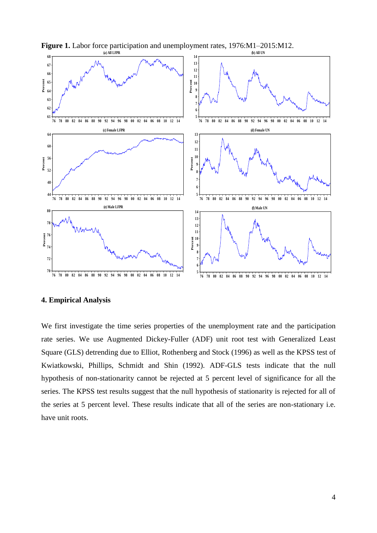



# **4. Empirical Analysis**

We first investigate the time series properties of the unemployment rate and the participation rate series. We use Augmented Dickey-Fuller (ADF) unit root test with Generalized Least Square (GLS) detrending due to Elliot, Rothenberg and Stock (1996) as well as the KPSS test of Kwiatkowski, Phillips, Schmidt and Shin (1992). ADF-GLS tests indicate that the null hypothesis of non-stationarity cannot be rejected at 5 percent level of significance for all the series. The KPSS test results suggest that the null hypothesis of stationarity is rejected for all of the series at 5 percent level. These results indicate that all of the series are non-stationary i.e. have unit roots.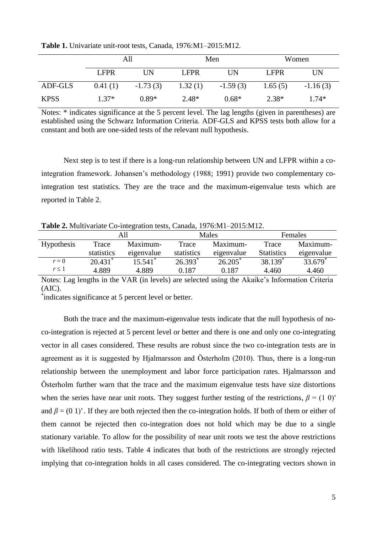|             | All         |            | Men         |            | Women             |            |  |
|-------------|-------------|------------|-------------|------------|-------------------|------------|--|
|             | <b>LFPR</b> | UN         | <b>LFPR</b> | UN         | LFPR <sup>1</sup> | UN         |  |
| ADF-GLS     | 0.41(1)     | $-1.73(3)$ | 1.32(1)     | $-1.59(3)$ | 1.65(5)           | $-1.16(3)$ |  |
| <b>KPSS</b> | $1.37*$     | $0.89*$    | $2.48*$     | $0.68*$    | $2.38*$           | $1.74*$    |  |

**Table 1.** Univariate unit-root tests, Canada, 1976:M1–2015:M12.

Notes: \* indicates significance at the 5 percent level. The lag lengths (given in parentheses) are established using the Schwarz Information Criteria. ADF-GLS and KPSS tests both allow for a constant and both are one-sided tests of the relevant null hypothesis.

Next step is to test if there is a long-run relationship between UN and LFPR within a cointegration framework. Johansen's methodology (1988; 1991) provide two complementary cointegration test statistics. They are the trace and the maximum-eigenvalue tests which are reported in Table 2.

**Table 2.** Multivariate Co-integration tests, Canada, 1976:M1–2015:M12.

|                   | All        |            | Males      |            | Females             |                     |
|-------------------|------------|------------|------------|------------|---------------------|---------------------|
| <b>Hypothesis</b> | Trace      | Maximum-   | Trace      | Maximum-   | Trace               | Maximum-            |
|                   | statistics | eigenvalue | statistics | eigenvalue | <b>Statistics</b>   | eigenvalue          |
| $r = 0$           | $20.431*$  | $15.541*$  | $26.393*$  | $26.205*$  | 38.139 <sup>*</sup> | 33.679 <sup>*</sup> |
| $r \leq 1$        | 4.889      | 4.889      | 0.187      | 0.187      | 4.460               | 4.460               |

Notes: Lag lengths in the VAR (in levels) are selected using the Akaike's Information Criteria (AIC).

\* indicates significance at 5 percent level or better.

Both the trace and the maximum-eigenvalue tests indicate that the null hypothesis of noco-integration is rejected at 5 percent level or better and there is one and only one co-integrating vector in all cases considered. These results are robust since the two co-integration tests are in agreement as it is suggested by Hjalmarsson and Österholm (2010). Thus, there is a long-run relationship between the unemployment and labor force participation rates. Hjalmarsson and Österholm further warn that the trace and the maximum eigenvalue tests have size distortions when the series have near unit roots. They suggest further testing of the restrictions,  $\beta = (1 \ 0)'$ and  $\beta = (0\ 1)'$ . If they are both rejected then the co-integration holds. If both of them or either of them cannot be rejected then co-integration does not hold which may be due to a single stationary variable. To allow for the possibility of near unit roots we test the above restrictions with likelihood ratio tests. Table 4 indicates that both of the restrictions are strongly rejected implying that co-integration holds in all cases considered. The co-integrating vectors shown in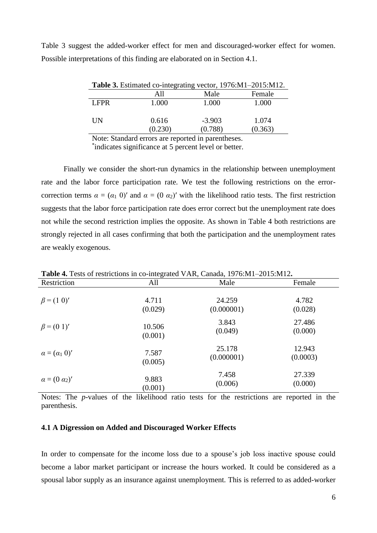| <b>Table 3.</b> Estimated co-integrating vector, 1976:M1-2015:M12. |                  |                     |                  |  |  |
|--------------------------------------------------------------------|------------------|---------------------|------------------|--|--|
|                                                                    | A11              | Male                | Female           |  |  |
| LFPR                                                               | 1.000            | 1.000               | 1.000            |  |  |
| UN                                                                 | 0.616<br>(0.230) | $-3.903$<br>(0.788) | 1.074<br>(0.363) |  |  |

Table 3 suggest the added-worker effect for men and discouraged-worker effect for women. Possible interpretations of this finding are elaborated on in Section 4.1.

Note: Standard errors are reported in parentheses.

\* indicates significance at 5 percent level or better.

Finally we consider the short-run dynamics in the relationship between unemployment rate and the labor force participation rate. We test the following restrictions on the errorcorrection terms  $\alpha = (\alpha_1 \ 0)'$  and  $\alpha = (0 \ \alpha_2)'$  with the likelihood ratio tests. The first restriction suggests that the labor force participation rate does error correct but the unemployment rate does not while the second restriction implies the opposite. As shown in Table 4 both restrictions are strongly rejected in all cases confirming that both the participation and the unemployment rates are weakly exogenous.

|                            | $\cdots$ |            |          |
|----------------------------|----------|------------|----------|
| Restriction                | All      | Male       | Female   |
| $\beta = (1 \ 0)'$         | 4.711    | 24.259     | 4.782    |
|                            | (0.029)  | (0.000001) | (0.028)  |
| $\beta = (0 1)'$           | 10.506   | 3.843      | 27.486   |
|                            | (0.001)  | (0.049)    | (0.000)  |
| $\alpha = (\alpha_1 \ 0)'$ | 7.587    | 25.178     | 12.943   |
|                            | (0.005)  | (0.000001) | (0.0003) |
| $\alpha = (0 \alpha_2)'$   | 9.883    | 7.458      | 27.339   |
|                            | (0.001)  | (0.006)    | (0.000)  |

**Table 4.** Tests of restrictions in co-integrated VAR, Canada, 1976:M1–2015:M12**.**

Notes: The *p*-values of the likelihood ratio tests for the restrictions are reported in the parenthesis.

### **4.1 A Digression on Added and Discouraged Worker Effects**

In order to compensate for the income loss due to a spouse's job loss inactive spouse could become a labor market participant or increase the hours worked. It could be considered as a spousal labor supply as an insurance against unemployment. This is referred to as added-worker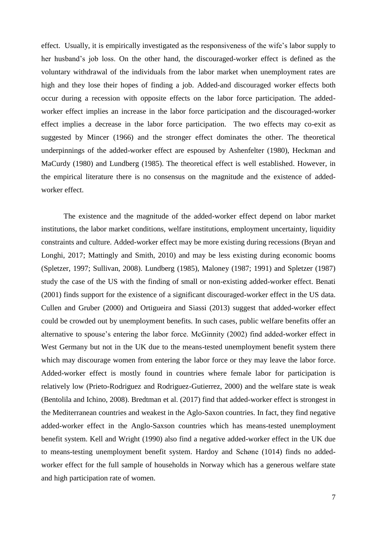effect. Usually, it is empirically investigated as the responsiveness of the wife's labor supply to her husband's job loss. On the other hand, the discouraged-worker effect is defined as the voluntary withdrawal of the individuals from the labor market when unemployment rates are high and they lose their hopes of finding a job. Added-and discouraged worker effects both occur during a recession with opposite effects on the labor force participation. The addedworker effect implies an increase in the labor force participation and the discouraged-worker effect implies a decrease in the labor force participation. The two effects may co-exit as suggested by Mincer (1966) and the stronger effect dominates the other. The theoretical underpinnings of the added-worker effect are espoused by Ashenfelter (1980), Heckman and MaCurdy (1980) and Lundberg (1985). The theoretical effect is well established. However, in the empirical literature there is no consensus on the magnitude and the existence of addedworker effect.

The existence and the magnitude of the added-worker effect depend on labor market institutions, the labor market conditions, welfare institutions, employment uncertainty, liquidity constraints and culture. Added-worker effect may be more existing during recessions (Bryan and Longhi, 2017; Mattingly and Smith, 2010) and may be less existing during economic booms (Spletzer, 1997; Sullivan, 2008). Lundberg (1985), Maloney (1987; 1991) and Spletzer (1987) study the case of the US with the finding of small or non-existing added-worker effect. Benati (2001) finds support for the existence of a significant discouraged-worker effect in the US data. Cullen and Gruber (2000) and Ortigueira and Siassi (2013) suggest that added-worker effect could be crowded out by unemployment benefits. In such cases, public welfare benefits offer an alternative to spouse's entering the labor force. McGinnity (2002) find added-worker effect in West Germany but not in the UK due to the means-tested unemployment benefit system there which may discourage women from entering the labor force or they may leave the labor force. Added-worker effect is mostly found in countries where female labor for participation is relatively low (Prieto-Rodriguez and Rodriguez-Gutierrez, 2000) and the welfare state is weak (Bentolila and Ichino, 2008). Bredtman et al. (2017) find that added-worker effect is strongest in the Mediterranean countries and weakest in the Aglo-Saxon countries. In fact, they find negative added-worker effect in the Anglo-Saxson countries which has means-tested unemployment benefit system. Kell and Wright (1990) also find a negative added-worker effect in the UK due to means-testing unemployment benefit system. Hardoy and Schøne (1014) finds no addedworker effect for the full sample of households in Norway which has a generous welfare state and high participation rate of women.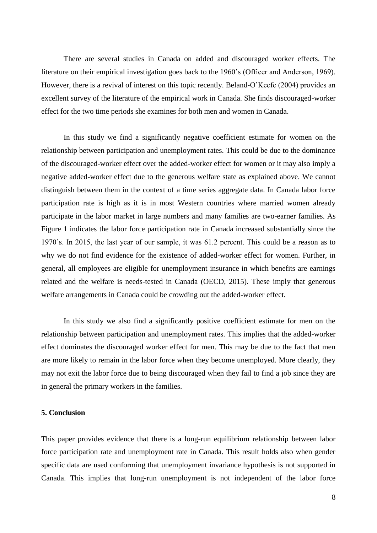There are several studies in Canada on added and discouraged worker effects. The literature on their empirical investigation goes back to the 1960's (Officer and Anderson, 1969). However, there is a revival of interest on this topic recently. Beland-O'Keefe (2004) provides an excellent survey of the literature of the empirical work in Canada. She finds discouraged-worker effect for the two time periods she examines for both men and women in Canada.

In this study we find a significantly negative coefficient estimate for women on the relationship between participation and unemployment rates. This could be due to the dominance of the discouraged-worker effect over the added-worker effect for women or it may also imply a negative added-worker effect due to the generous welfare state as explained above. We cannot distinguish between them in the context of a time series aggregate data. In Canada labor force participation rate is high as it is in most Western countries where married women already participate in the labor market in large numbers and many families are two-earner families. As Figure 1 indicates the labor force participation rate in Canada increased substantially since the 1970's. In 2015, the last year of our sample, it was 61.2 percent. This could be a reason as to why we do not find evidence for the existence of added-worker effect for women. Further, in general, all employees are eligible for unemployment insurance in which benefits are earnings related and the welfare is needs-tested in Canada (OECD, 2015). These imply that generous welfare arrangements in Canada could be crowding out the added-worker effect.

In this study we also find a significantly positive coefficient estimate for men on the relationship between participation and unemployment rates. This implies that the added-worker effect dominates the discouraged worker effect for men. This may be due to the fact that men are more likely to remain in the labor force when they become unemployed. More clearly, they may not exit the labor force due to being discouraged when they fail to find a job since they are in general the primary workers in the families.

# **5. Conclusion**

This paper provides evidence that there is a long-run equilibrium relationship between labor force participation rate and unemployment rate in Canada. This result holds also when gender specific data are used conforming that unemployment invariance hypothesis is not supported in Canada. This implies that long-run unemployment is not independent of the labor force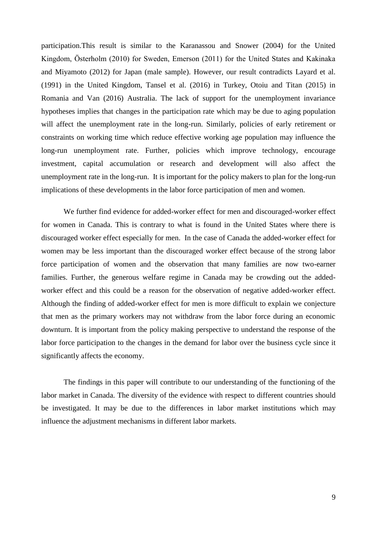participation.This result is similar to the Karanassou and Snower (2004) for the United Kingdom, Österholm (2010) for Sweden, Emerson (2011) for the United States and Kakinaka and Miyamoto (2012) for Japan (male sample). However, our result contradicts Layard et al. (1991) in the United Kingdom, Tansel et al. (2016) in Turkey, Otoiu and Titan (2015) in Romania and Van (2016) Australia. The lack of support for the unemployment invariance hypotheses implies that changes in the participation rate which may be due to aging population will affect the unemployment rate in the long-run. Similarly, policies of early retirement or constraints on working time which reduce effective working age population may influence the long-run unemployment rate. Further, policies which improve technology, encourage investment, capital accumulation or research and development will also affect the unemployment rate in the long-run. It is important for the policy makers to plan for the long-run implications of these developments in the labor force participation of men and women.

We further find evidence for added-worker effect for men and discouraged-worker effect for women in Canada. This is contrary to what is found in the United States where there is discouraged worker effect especially for men. In the case of Canada the added-worker effect for women may be less important than the discouraged worker effect because of the strong labor force participation of women and the observation that many families are now two-earner families. Further, the generous welfare regime in Canada may be crowding out the addedworker effect and this could be a reason for the observation of negative added-worker effect. Although the finding of added-worker effect for men is more difficult to explain we conjecture that men as the primary workers may not withdraw from the labor force during an economic downturn. It is important from the policy making perspective to understand the response of the labor force participation to the changes in the demand for labor over the business cycle since it significantly affects the economy.

The findings in this paper will contribute to our understanding of the functioning of the labor market in Canada. The diversity of the evidence with respect to different countries should be investigated. It may be due to the differences in labor market institutions which may influence the adjustment mechanisms in different labor markets.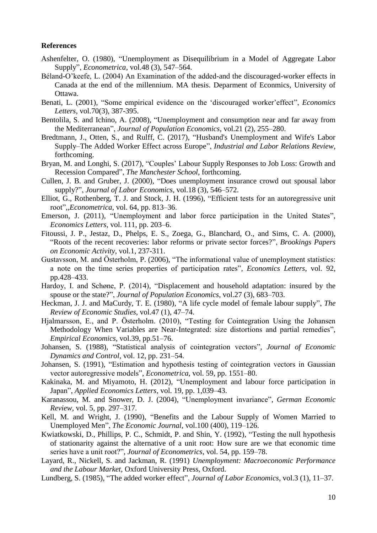# **References**

- Ashenfelter, O. (1980), "Unemployment as Disequilibrium in a Model of Aggregate Labor Supply", *Econometrica*, vol.48 (3), 547–564.
- Béland-O'keefe, L. (2004) An Examination of the added-and the discouraged-worker effects in Canada at the end of the millennium. MA thesis. Deparment of Econmics, University of Ottawa.
- Benati, L. (2001), "Some empirical evidence on the 'discouraged worker'effect", *Economics Letters*, vol.70(3), 387-395.
- Bentolila, S. and Ichino, A. (2008), "Unemployment and consumption near and far away from the Mediterranean", *Journal of Population Economics*, vol.21 (2), 255–280.
- Bredtmann, J., Otten, S., and Rulff, C. (2017), "Husband's Unemployment and Wife's Labor Supply–The Added Worker Effect across Europe", *Industrial and Labor Relations Review*, forthcoming.
- Bryan, M. and Longhi, S. (2017), "Couples' Labour Supply Responses to Job Loss: Growth and Recession Compared", *The Manchester School*, forthcoming.
- Cullen, J. B. and Gruber, J. (2000), "Does unemployment insurance crowd out spousal labor supply?", *Journal of Labor Economics*, vol.18 (3), 546–572.
- Elliot, G., Rothenberg, T. J. and Stock, J. H. (1996), "Efficient tests for an autoregressive unit root",,*Econometrica*, vol. 64, pp. 813–36.
- Emerson, J. (2011), "Unemployment and labor force participation in the United States", *Economics Letters*, vol. 111, pp. 203–6.
- Fitoussi, J. P., Jestaz, D., Phelps, E. S., Zoega, G., Blanchard, O., and Sims, C. A. (2000), "Roots of the recent recoveries: labor reforms or private sector forces?", *Brookings Papers on Economic Activity*, vol.1, 237-311.
- Gustavsson, M. and Österholm, P. (2006), "The informational value of unemployment statistics: a note on the time series properties of participation rates", *Economics Letters*, vol. 92, pp.428–433.
- Hardoy, I. and Schøne, P. (2014), "Displacement and household adaptation: insured by the spouse or the state?", *Journal of Population Economics*, vol.27 (3), 683–703.
- Heckman, J. J. and MaCurdy, T. E. (1980), "A life cycle model of female labour supply", *The Review of Economic Studies*, vol.47 (1), 47–74.
- Hjalmarsson, E., and P. Österholm. (2010), "Testing for Cointegration Using the Johansen Methodology When Variables are Near-Integrated: size distortions and partial remedies", *Empirical Economics*, vol.39, pp.51–76.
- Johansen, S. (1988), "Statistical analysis of cointegration vectors", *Journal of Economic Dynamics and Control,* vol. 12, pp. 231–54.
- Johansen, S. (1991), "Estimation and hypothesis testing of cointegration vectors in Gaussian vector autoregressive models", *Econometrica*, vol. 59, pp. 1551–80.
- Kakinaka, M. and Miyamoto, H. (2012), "Unemployment and labour force participation in Japan", *Applied Economics Letters*, vol. 19, pp. 1,039–43.
- Karanassou, M. and Snower, D. J. (2004), "Unemployment invariance", *German Economic Review*, vol. 5, pp. 297–317.
- Kell, M. and Wright, J. (1990), "Benefits and the Labour Supply of Women Married to Unemployed Men", *The Economic Journal*, vol.100 (400), 119–126.
- Kwiatkowski, D., Phillips, P. C., Schmidt, P. and Shin, Y. (1992), "Testing the null hypothesis of stationarity against the alternative of a unit root: How sure are we that economic time series have a unit root?", *Journal of Econometrics*, vol. 54, pp. 159–78.
- Layard, R., Nickell, S. and Jackman, R. (1991) *Unemployment: Macroeconomic Performance and the Labour Market*, Oxford University Press, Oxford.
- Lundberg, S. (1985), "The added worker effect", *Journal of Labor Economics*, vol.3 (1), 11–37.